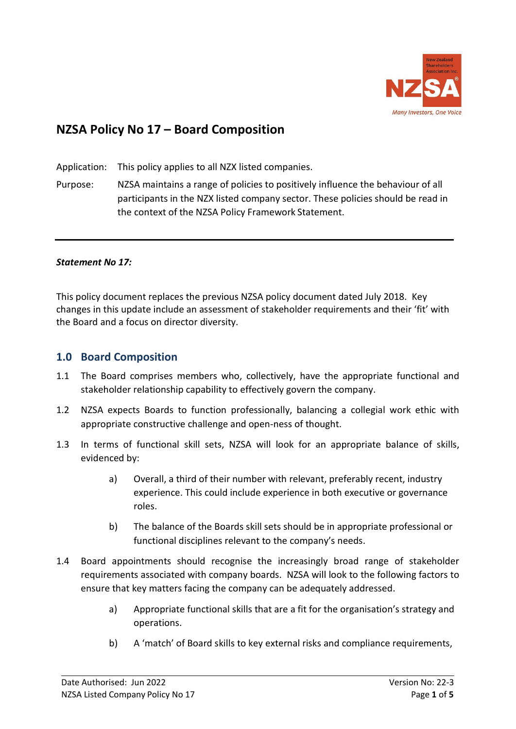

# **NZSA Policy No 17 – Board Composition**

Application: This policy applies to all NZX listed companies.

Purpose: NZSA maintains a range of policies to positively influence the behaviour of all participants in the NZX listed company sector. These policies should be read in the context of the NZSA Policy Framework Statement.

#### *Statement No 17:*

This policy document replaces the previous NZSA policy document dated July 2018. Key changes in this update include an assessment of stakeholder requirements and their 'fit' with the Board and a focus on director diversity.

#### **1.0 Board Composition**

- 1.1 The Board comprises members who, collectively, have the appropriate functional and stakeholder relationship capability to effectively govern the company.
- 1.2 NZSA expects Boards to function professionally, balancing a collegial work ethic with appropriate constructive challenge and open-ness of thought.
- 1.3 In terms of functional skill sets, NZSA will look for an appropriate balance of skills, evidenced by:
	- a) Overall, a third of their number with relevant, preferably recent, industry experience. This could include experience in both executive or governance roles.
	- b) The balance of the Boards skill sets should be in appropriate professional or functional disciplines relevant to the company's needs.
- 1.4 Board appointments should recognise the increasingly broad range of stakeholder requirements associated with company boards. NZSA will look to the following factors to ensure that key matters facing the company can be adequately addressed.
	- a) Appropriate functional skills that are a fit for the organisation's strategy and operations.
	- b) A 'match' of Board skills to key external risks and compliance requirements,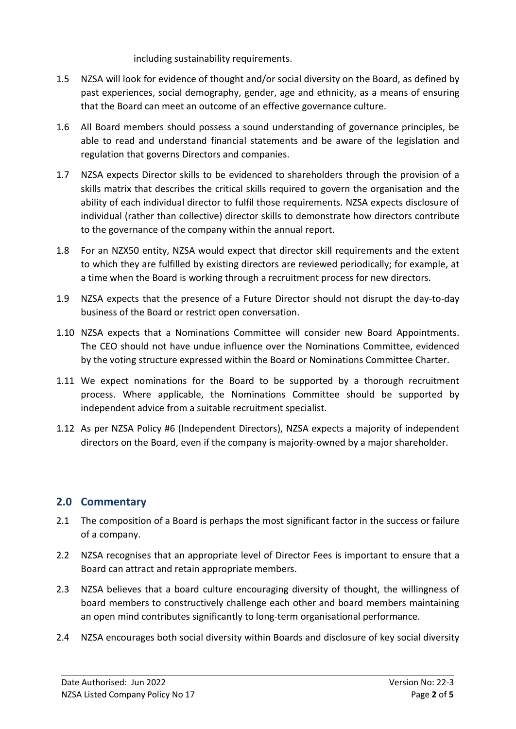including sustainability requirements.

- 1.5 NZSA will look for evidence of thought and/or social diversity on the Board, as defined by past experiences, social demography, gender, age and ethnicity, as a means of ensuring that the Board can meet an outcome of an effective governance culture.
- 1.6 All Board members should possess a sound understanding of governance principles, be able to read and understand financial statements and be aware of the legislation and regulation that governs Directors and companies.
- 1.7 NZSA expects Director skills to be evidenced to shareholders through the provision of a skills matrix that describes the critical skills required to govern the organisation and the ability of each individual director to fulfil those requirements. NZSA expects disclosure of individual (rather than collective) director skills to demonstrate how directors contribute to the governance of the company within the annual report.
- 1.8 For an NZX50 entity, NZSA would expect that director skill requirements and the extent to which they are fulfilled by existing directors are reviewed periodically; for example, at a time when the Board is working through a recruitment process for new directors.
- 1.9 NZSA expects that the presence of a Future Director should not disrupt the day-to-day business of the Board or restrict open conversation.
- 1.10 NZSA expects that a Nominations Committee will consider new Board Appointments. The CEO should not have undue influence over the Nominations Committee, evidenced by the voting structure expressed within the Board or Nominations Committee Charter.
- 1.11 We expect nominations for the Board to be supported by a thorough recruitment process. Where applicable, the Nominations Committee should be supported by independent advice from a suitable recruitment specialist.
- 1.12 As per NZSA Policy #6 (Independent Directors), NZSA expects a majority of independent directors on the Board, even if the company is majority-owned by a major shareholder.

# **2.0 Commentary**

- 2.1 The composition of a Board is perhaps the most significant factor in the success or failure of a company.
- 2.2 NZSA recognises that an appropriate level of Director Fees is important to ensure that a Board can attract and retain appropriate members.
- 2.3 NZSA believes that a board culture encouraging diversity of thought, the willingness of board members to constructively challenge each other and board members maintaining an open mind contributes significantly to long-term organisational performance.
- 2.4 NZSA encourages both social diversity within Boards and disclosure of key social diversity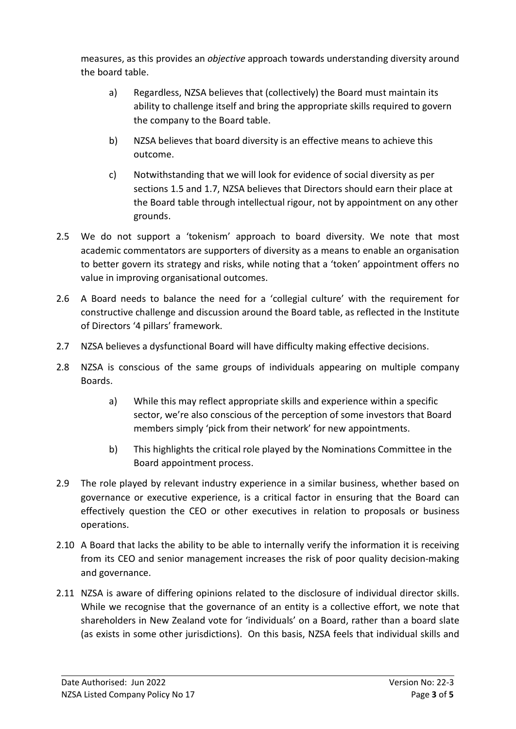measures, as this provides an *objective* approach towards understanding diversity around the board table.

- a) Regardless, NZSA believes that (collectively) the Board must maintain its ability to challenge itself and bring the appropriate skills required to govern the company to the Board table.
- b) NZSA believes that board diversity is an effective means to achieve this outcome.
- c) Notwithstanding that we will look for evidence of social diversity as per sections 1.5 and 1.7, NZSA believes that Directors should earn their place at the Board table through intellectual rigour, not by appointment on any other grounds.
- 2.5 We do not support a 'tokenism' approach to board diversity. We note that most academic commentators are supporters of diversity as a means to enable an organisation to better govern its strategy and risks, while noting that a 'token' appointment offers no value in improving organisational outcomes.
- 2.6 A Board needs to balance the need for a 'collegial culture' with the requirement for constructive challenge and discussion around the Board table, as reflected in the Institute of Directors '4 pillars' framework.
- 2.7 NZSA believes a dysfunctional Board will have difficulty making effective decisions.
- 2.8 NZSA is conscious of the same groups of individuals appearing on multiple company Boards.
	- a) While this may reflect appropriate skills and experience within a specific sector, we're also conscious of the perception of some investors that Board members simply 'pick from their network' for new appointments.
	- b) This highlights the critical role played by the Nominations Committee in the Board appointment process.
- 2.9 The role played by relevant industry experience in a similar business, whether based on governance or executive experience, is a critical factor in ensuring that the Board can effectively question the CEO or other executives in relation to proposals or business operations.
- 2.10 A Board that lacks the ability to be able to internally verify the information it is receiving from its CEO and senior management increases the risk of poor quality decision-making and governance.
- 2.11 NZSA is aware of differing opinions related to the disclosure of individual director skills. While we recognise that the governance of an entity is a collective effort, we note that shareholders in New Zealand vote for 'individuals' on a Board, rather than a board slate (as exists in some other jurisdictions). On this basis, NZSA feels that individual skills and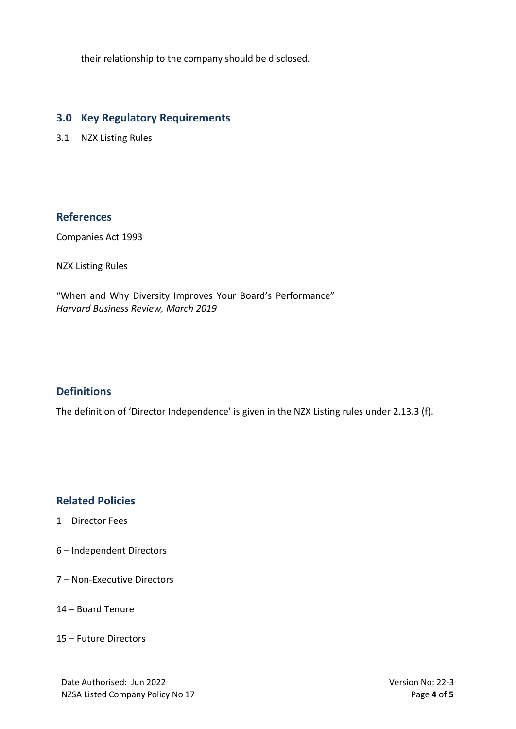their relationship to the company should be disclosed.

### **3.0 Key Regulatory Requirements**

3.1 NZX Listing Rules

#### **References**

Companies Act 1993

NZX Listing Rules

"When and Why Diversity Improves Your Board's Performance" *Harvard Business Review, March 2019*

# **Definitions**

The definition of 'Director Independence' is given in the NZX Listing rules under 2.13.3 (f).

# **Related Policies**

- 1 Director Fees
- 6 Independent Directors
- 7 Non-Executive Directors
- 14 Board Tenure
- 15 Future Directors